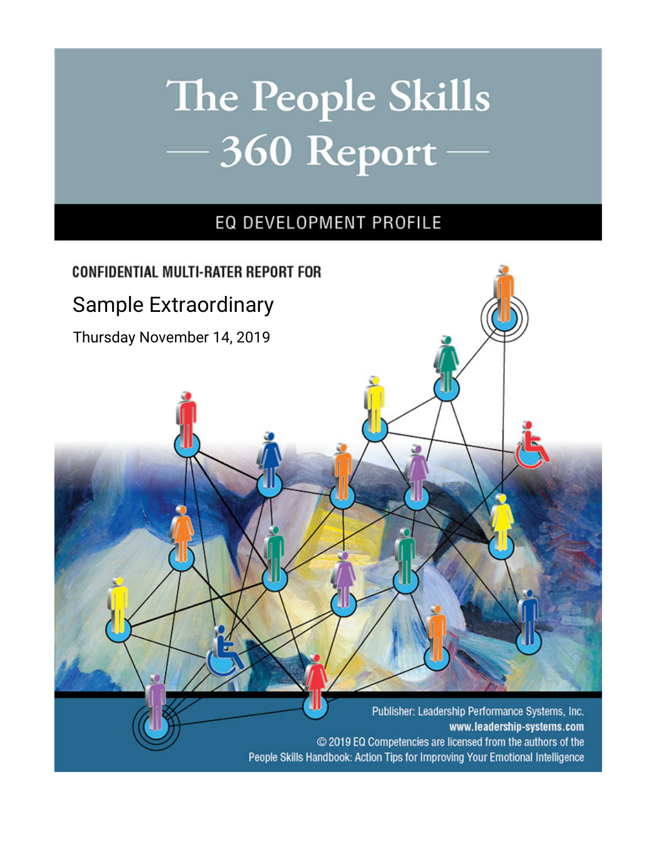# The People Skills  $-360$  Report

### EQ DEVELOPMENT PROFILE

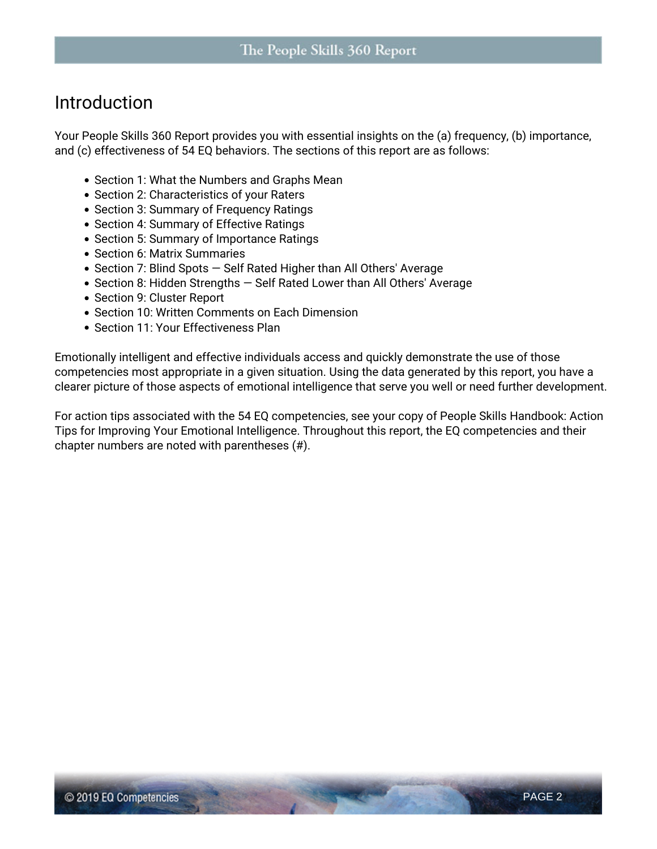#### **Introduction**

Your *People Skills 360* Report provides you with essential insights on the (a) frequency, (b) importance, and (c) effectiveness of 54 EQ behaviors. The sections of this report are as follows:

- Section 1: What the Numbers and Graphs Mean
- Section 2: Characteristics of your Raters
- Section 3: Summary of Frequency Ratings
- Section 4: Summary of Effective Ratings
- Section 5: Summary of Importance Ratings
- Section 6: Matrix Summaries
- Section 7: Blind Spots Self Rated Higher than All Others' Average
- Section 8: Hidden Strengths Self Rated Lower than All Others' Average
- Section 9: Cluster Report
- Section 10: Written Comments on Each Dimension
- Section 11: Your Effectiveness Plan

Emotionally intelligent and effective individuals access and quickly demonstrate the use of those competencies most appropriate in a given situation. Using the data generated by this report, you have a clearer picture of those aspects of emotional intelligence that serve you well or need further development.

For action tips associated with the 54 EQ competencies, see your copy of *People Skills Handbook: Action Tips for Improving Your Emotional Intelligence*. Throughout this report, the EQ competencies and their chapter numbers are noted with parentheses (#).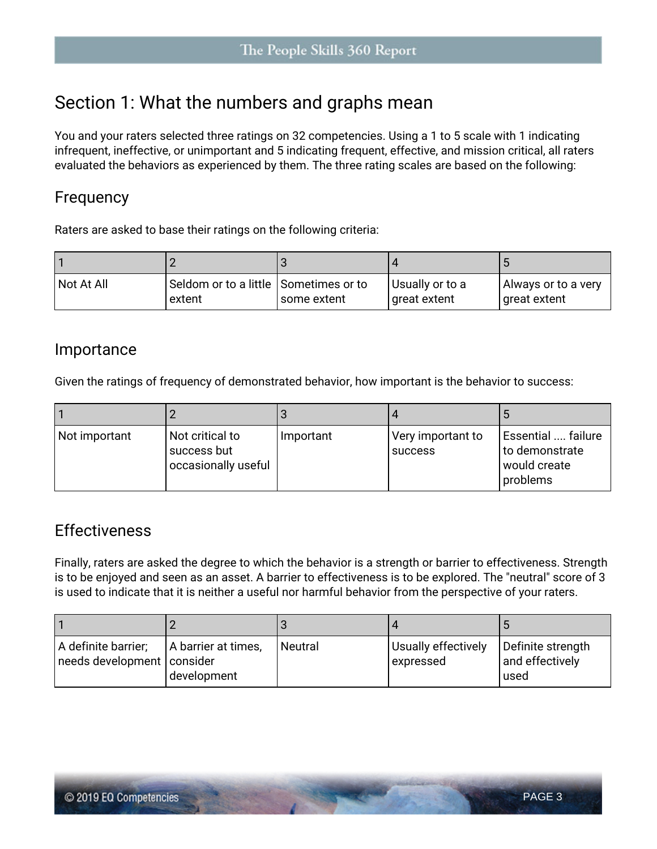### **Section 1: What the numbers and graphs mean**

You and your raters selected three ratings on 32 competencies. Using a 1 to 5 scale with 1 indicating infrequent, ineffective, or unimportant and 5 indicating frequent, effective, and mission critical, all raters evaluated the behaviors as experienced by them. The three rating scales are based on the following:

#### **Frequency**

Raters are asked to base their ratings on the following criteria:

| Not At All | Seldom or to a little Sometimes or to<br>extent | l some extent | Usually or to a<br>I great extent | Always or to a very<br>  great extent |
|------------|-------------------------------------------------|---------------|-----------------------------------|---------------------------------------|

#### **Importance**

Given the ratings of frequency of demonstrated behavior, how important is the behavior to success:

| Not important | Not critical to<br>  success but<br>occasionally useful | Important | Very important to<br><b>SUCCESS</b> | 'Essential  failure<br>to demonstrate<br>l would create<br>problems |
|---------------|---------------------------------------------------------|-----------|-------------------------------------|---------------------------------------------------------------------|

#### **Effectiveness**

Finally, raters are asked the degree to which the behavior is a **strength** or **barrier** to effectiveness. Strength is to be enjoyed and seen as an asset. A barrier to effectiveness is to be explored. The "neutral" score of 3 is used to indicate that it is neither a useful nor harmful behavior from the perspective of your raters.

| A definite barrier;<br>needs development   consider | A barrier at times,<br>development | l Neutral | Usually effectively<br>expressed | Definite strength<br>and effectively<br>lused |
|-----------------------------------------------------|------------------------------------|-----------|----------------------------------|-----------------------------------------------|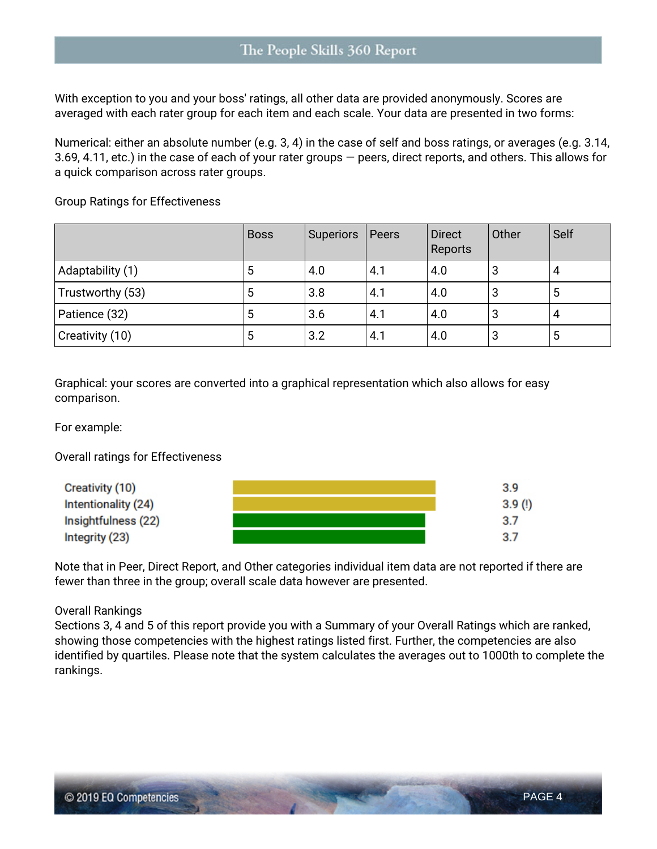With exception to you and your boss' ratings, all other data are provided anonymously. Scores are averaged with each rater group for each item and each scale. Your data are presented in two forms:

Numerical: either an absolute number (e.g. 3, 4) in the case of self and boss ratings, or averages (e.g. 3.14, 3.69, 4.11, etc.) in the case of each of your rater groups — peers, direct reports, and others. This allows for a quick comparison across rater groups.

**Group Ratings for Effectiveness**

|                  | <b>Boss</b> | Superiors | Peers | <b>Direct</b><br>Reports | Other | Self |
|------------------|-------------|-----------|-------|--------------------------|-------|------|
| Adaptability (1) | ა           | 4.0       | 4.1   | 4.0                      | 3     | 4    |
| Trustworthy (53) | ხ           | 3.8       | 4.1   | 4.0                      | 3     | 5    |
| Patience (32)    | ა           | 3.6       | 4.1   | 4.0                      | 3     | 4    |
| Creativity (10)  | 5           | 3.2       | 4.1   | 4.0                      | 3     | 5    |

Graphical: your scores are converted into a graphical representation which also allows for easy comparison.

For example:

**Overall ratings for Effectiveness**



Note that in Peer, Direct Report, and Other categories individual item data are not reported if there are fewer than three in the group; overall scale data however are presented.

#### **Overall Rankings**

Sections 3, 4 and 5 of this report provide you with a Summary of your Overall Ratings which are ranked, showing those competencies with the highest ratings listed first. Further, the competencies are also identified by quartiles. Please note that the system calculates the averages out to 1000th to complete the rankings.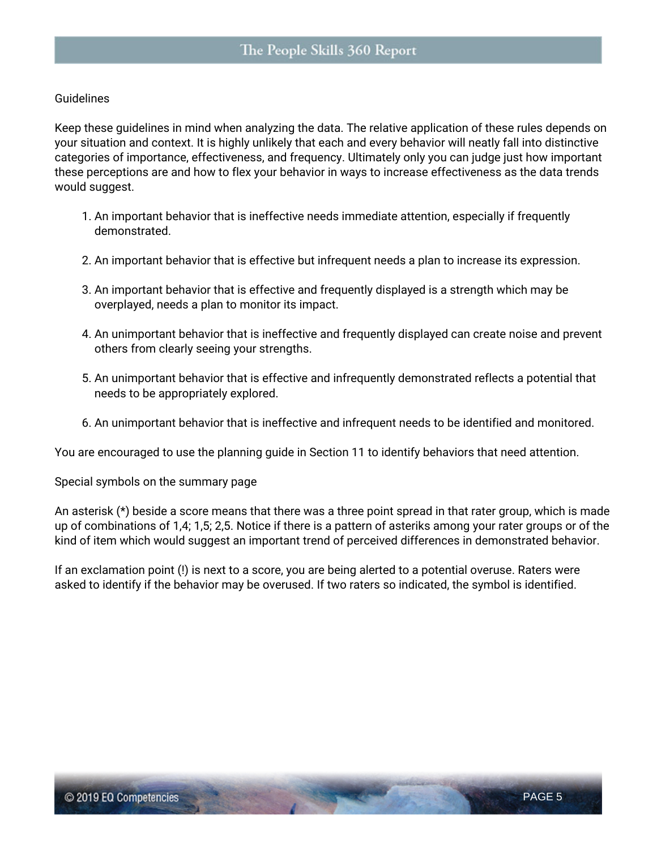#### **Guidelines**

Keep these guidelines in mind when analyzing the data. The relative application of these rules depends on your situation and context. It is highly unlikely that each and every behavior will neatly fall into distinctive categories of importance, effectiveness, and frequency. Ultimately only you can judge just how important these perceptions are and how to flex your behavior in ways to increase effectiveness as the data trends would suggest.

- 1. An important behavior that is ineffective needs **immediate attention**, especially if frequently demonstrated.
- 2. An important behavior that is effective but infrequent needs a plan to increase its expression.
- 3. An important behavior that is effective and frequently displayed is a strength which may be overplayed, needs a plan to monitor its impact.
- 4. An unimportant behavior that is ineffective and frequently displayed can create noise and prevent others from clearly seeing your strengths.
- 5. An unimportant behavior that is effective and infrequently demonstrated reflects a potential that needs to be appropriately explored.
- 6. An unimportant behavior that is ineffective and infrequent needs to be identified and monitored.

You are encouraged to use the planning guide in Section 11 to identify behaviors that need attention.

**Special symbols on the summary page**

An asterisk (\*) beside a score means that there was a three point spread in that rater group, which is made up of combinations of 1,4; 1,5; 2,5. Notice if there is a pattern of asteriks among your rater groups or of the kind of item which would suggest an important trend of perceived differences in demonstrated behavior.

If an exclamation point (!) is next to a score, you are being alerted to a potential overuse. Raters were asked to identify if the behavior may be overused. If two raters so indicated, the symbol is identified.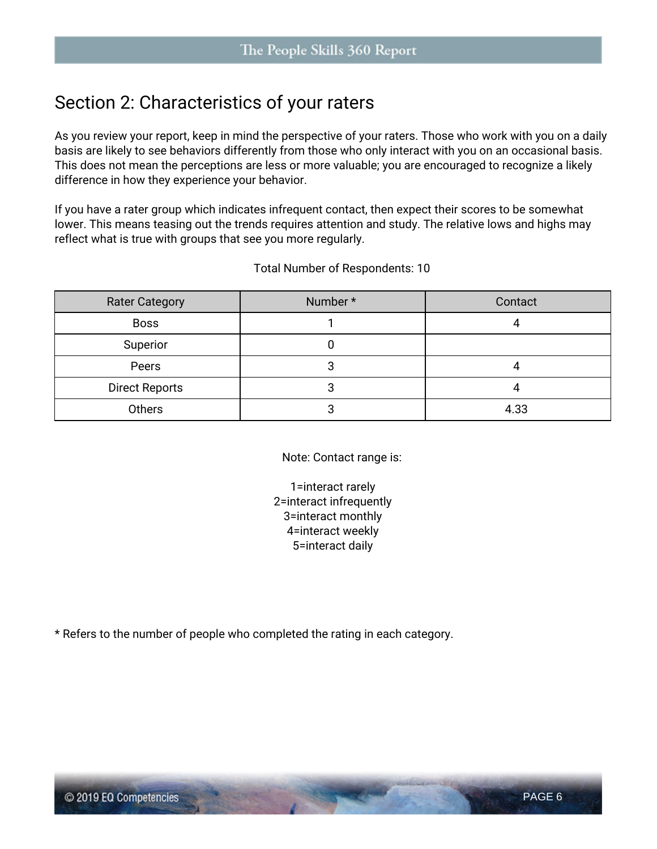### **Section 2: Characteristics of your raters**

As you review your report, keep in mind the perspective of your raters. Those who work with you on a daily basis are likely to see behaviors differently from those who only interact with you on an occasional basis. This does not mean the perceptions are less or more valuable; you are encouraged to recognize a likely difference in how they experience your behavior.

If you have a rater group which indicates infrequent contact, then expect their scores to be somewhat lower. This means teasing out the trends requires attention and study. The relative lows and highs may reflect what is true with groups that see you more regularly.

| <b>Rater Category</b> | Number * | Contact |
|-----------------------|----------|---------|
| <b>Boss</b>           |          |         |
| Superior              |          |         |
| Peers                 |          |         |
| <b>Direct Reports</b> |          |         |
| Others                |          | 4.33    |

Total Number of Respondents: 10

Note: Contact range is:

1=interact rarely 2=interact infrequently 3=interact monthly 4=interact weekly 5=interact daily

\* Refers to the number of people who completed the rating in each category.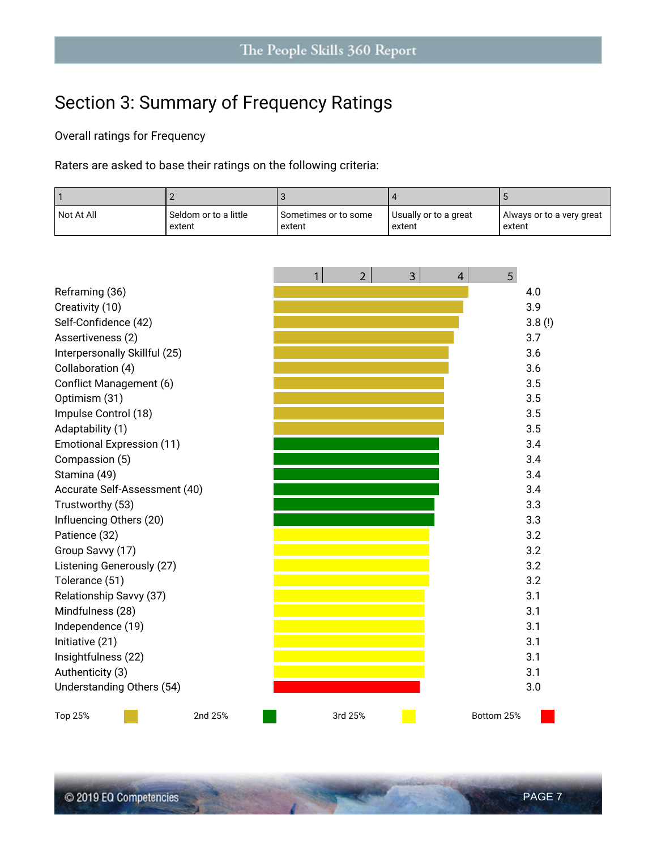# **Section 3: Summary of Frequency Ratings**

**Overall ratings for Frequency**

Raters are asked to base their ratings on the following criteria:

| Not At All | ' Seldom or to a little | Sometimes or to some | Usually or to a great | Always or to a very great |
|------------|-------------------------|----------------------|-----------------------|---------------------------|
|            | extent                  | extent               | extent                | extent                    |

|                                  |         | 1 | $\overline{2}$ | 3 | 4 | 5          |        |
|----------------------------------|---------|---|----------------|---|---|------------|--------|
| Reframing (36)                   |         |   |                |   |   |            | 4.0    |
| Creativity (10)                  |         |   |                |   |   |            | 3.9    |
| Self-Confidence (42)             |         |   |                |   |   |            | 3.8(!) |
| Assertiveness (2)                |         |   |                |   |   |            | 3.7    |
| Interpersonally Skillful (25)    |         |   |                |   |   |            | 3.6    |
| Collaboration (4)                |         |   |                |   |   |            | 3.6    |
| Conflict Management (6)          |         |   |                |   |   |            | 3.5    |
| Optimism (31)                    |         |   |                |   |   |            | 3.5    |
| Impulse Control (18)             |         |   |                |   |   |            | 3.5    |
| Adaptability (1)                 |         |   |                |   |   |            | 3.5    |
| <b>Emotional Expression (11)</b> |         |   |                |   |   |            | 3.4    |
| Compassion (5)                   |         |   |                |   |   |            | 3.4    |
| Stamina (49)                     |         |   |                |   |   |            | 3.4    |
| Accurate Self-Assessment (40)    |         |   |                |   |   |            | 3.4    |
| Trustworthy (53)                 |         |   |                |   |   |            | 3.3    |
| Influencing Others (20)          |         |   |                |   |   |            | 3.3    |
| Patience (32)                    |         |   |                |   |   |            | 3.2    |
| Group Savvy (17)                 |         |   |                |   |   |            | 3.2    |
| Listening Generously (27)        |         |   |                |   |   |            | 3.2    |
| Tolerance (51)                   |         |   |                |   |   |            | 3.2    |
| Relationship Savvy (37)          |         |   |                |   |   |            | 3.1    |
| Mindfulness (28)                 |         |   |                |   |   |            | 3.1    |
| Independence (19)                |         |   |                |   |   |            | 3.1    |
| Initiative (21)                  |         |   |                |   |   |            | 3.1    |
| Insightfulness (22)              |         |   |                |   |   |            | 3.1    |
| Authenticity (3)                 |         |   |                |   |   |            | 3.1    |
| Understanding Others (54)        |         |   |                |   |   |            | 3.0    |
| Top 25%                          | 2nd 25% |   | 3rd 25%        |   |   | Bottom 25% |        |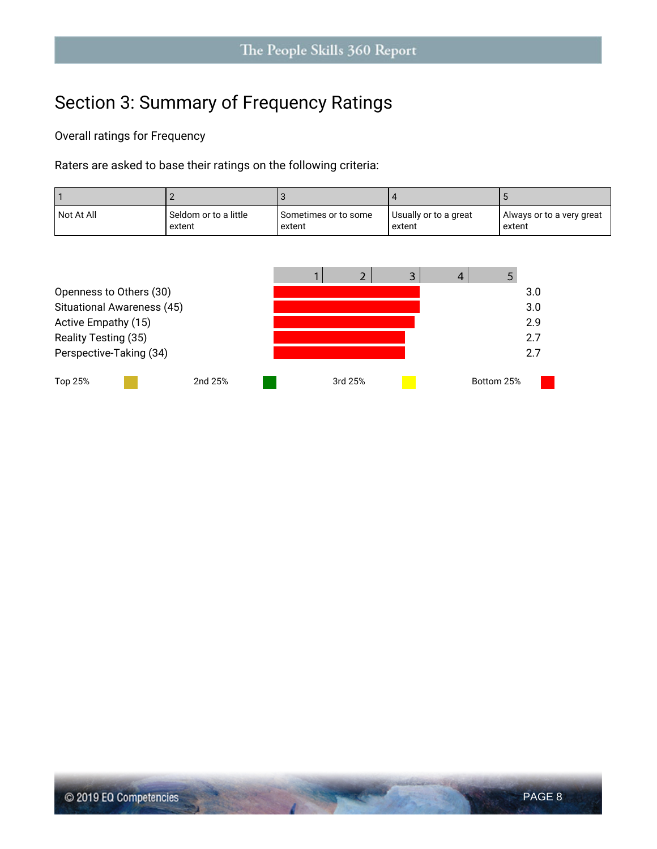# **Section 3: Summary of Frequency Ratings**

**Overall ratings for Frequency**

Raters are asked to base their ratings on the following criteria:

| Not At All | Seldom or to a little<br>extent | Sometimes or to some<br>extent | Usually or to a great<br>extent | Always or to a very great<br>extent |
|------------|---------------------------------|--------------------------------|---------------------------------|-------------------------------------|
|            |                                 |                                |                                 |                                     |
|            |                                 |                                |                                 |                                     |

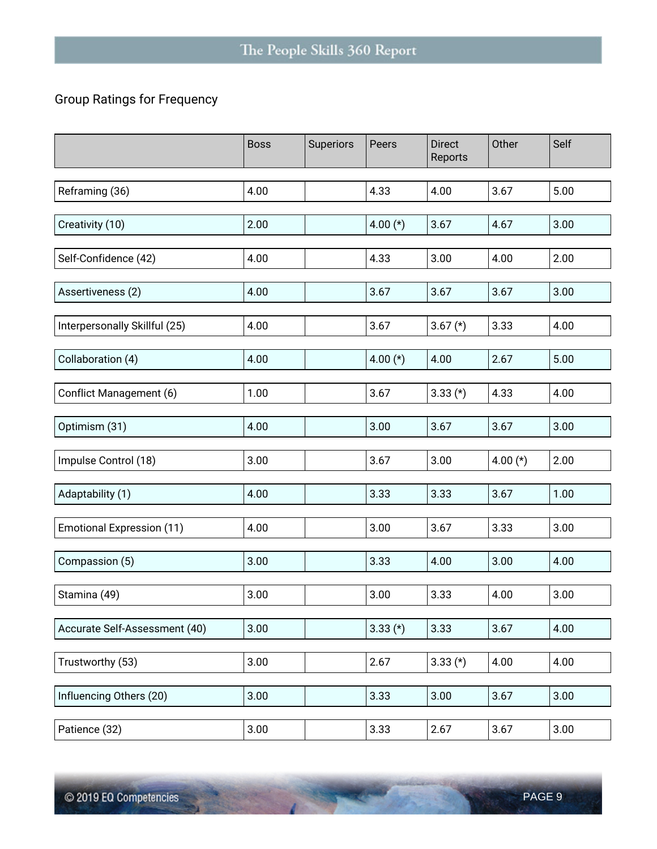#### **Group Ratings for Frequency**

|                                  | <b>Boss</b> | Superiors | Peers      | <b>Direct</b><br>Reports | Other      | Self |
|----------------------------------|-------------|-----------|------------|--------------------------|------------|------|
| Reframing (36)                   | 4.00        |           | 4.33       | 4.00                     | 3.67       | 5.00 |
| Creativity (10)                  | 2.00        |           | 4.00 $(*)$ | 3.67                     | 4.67       | 3.00 |
| Self-Confidence (42)             | 4.00        |           | 4.33       | 3.00                     | 4.00       | 2.00 |
| Assertiveness (2)                | 4.00        |           | 3.67       | 3.67                     | 3.67       | 3.00 |
| Interpersonally Skillful (25)    | 4.00        |           | 3.67       | $3.67 (*)$               | 3.33       | 4.00 |
| Collaboration (4)                | 4.00        |           | 4.00 $(*)$ | 4.00                     | 2.67       | 5.00 |
| Conflict Management (6)          | 1.00        |           | 3.67       | $3.33$ (*)               | 4.33       | 4.00 |
| Optimism (31)                    | 4.00        |           | 3.00       | 3.67                     | 3.67       | 3.00 |
| Impulse Control (18)             | 3.00        |           | 3.67       | 3.00                     | 4.00 $(*)$ | 2.00 |
| Adaptability (1)                 | 4.00        |           | 3.33       | 3.33                     | 3.67       | 1.00 |
| <b>Emotional Expression (11)</b> | 4.00        |           | 3.00       | 3.67                     | 3.33       | 3.00 |
| Compassion (5)                   | 3.00        |           | 3.33       | 4.00                     | 3.00       | 4.00 |
| Stamina (49)                     | 3.00        |           | 3.00       | 3.33                     | 4.00       | 3.00 |
| Accurate Self-Assessment (40)    | 3.00        |           | $3.33(*)$  | 3.33                     | 3.67       | 4.00 |
| Trustworthy (53)                 | 3.00        |           | 2.67       | $3.33 (*)$               | 4.00       | 4.00 |
| Influencing Others (20)          | 3.00        |           | 3.33       | 3.00                     | 3.67       | 3.00 |
| Patience (32)                    | 3.00        |           | 3.33       | 2.67                     | 3.67       | 3.00 |

**Contract Contract** 

**ASSESSMENT**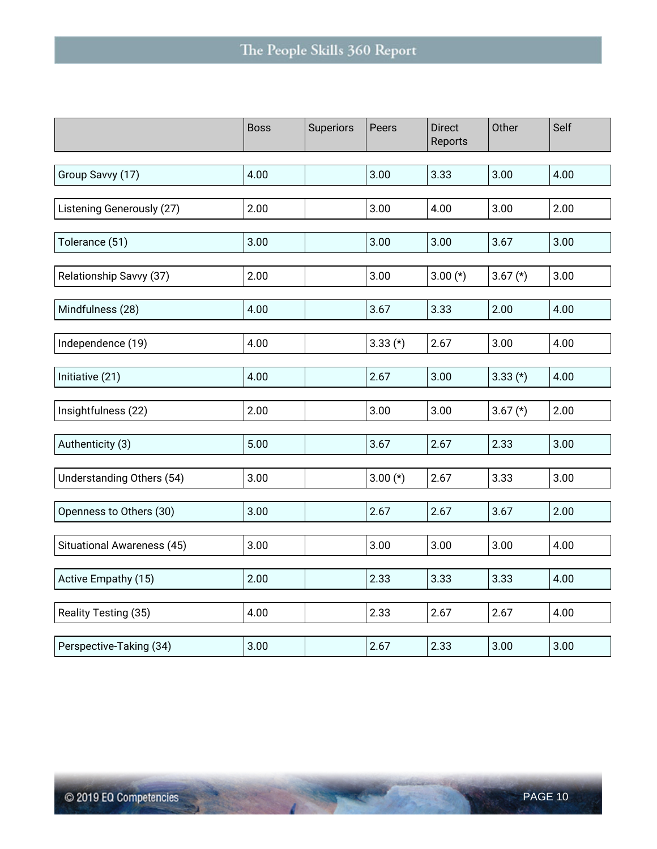|                            | <b>Boss</b> | Superiors | Peers      | <b>Direct</b><br>Reports | Other      | Self |
|----------------------------|-------------|-----------|------------|--------------------------|------------|------|
|                            |             |           |            |                          |            |      |
| Group Savvy (17)           | 4.00        |           | 3.00       | 3.33                     | 3.00       | 4.00 |
|                            |             |           |            |                          |            |      |
| Listening Generously (27)  | 2.00        |           | 3.00       | 4.00                     | 3.00       | 2.00 |
|                            |             |           |            |                          |            |      |
| Tolerance (51)             | 3.00        |           | 3.00       | 3.00                     | 3.67       | 3.00 |
|                            |             |           |            |                          |            |      |
| Relationship Savvy (37)    | 2.00        |           | 3.00       | $3.00(*)$                | $3.67 (*)$ | 3.00 |
|                            |             |           |            |                          |            |      |
| Mindfulness (28)           | 4.00        |           | 3.67       | 3.33                     | 2.00       | 4.00 |
|                            |             |           |            |                          |            |      |
| Independence (19)          | 4.00        |           | $3.33$ (*) | 2.67                     | 3.00       | 4.00 |
| Initiative (21)            | 4.00        |           | 2.67       | 3.00                     | $3.33$ (*) | 4.00 |
|                            |             |           |            |                          |            |      |
| Insightfulness (22)        | 2.00        |           | 3.00       | 3.00                     | $3.67$ (*) | 2.00 |
|                            |             |           |            |                          |            |      |
| Authenticity (3)           | 5.00        |           | 3.67       | 2.67                     | 2.33       | 3.00 |
|                            |             |           |            |                          |            |      |
| Understanding Others (54)  | 3.00        |           | $3.00(*)$  | 2.67                     | 3.33       | 3.00 |
|                            |             |           |            |                          |            |      |
| Openness to Others (30)    | 3.00        |           | 2.67       | 2.67                     | 3.67       | 2.00 |
|                            |             |           |            |                          |            |      |
| Situational Awareness (45) | 3.00        |           | 3.00       | 3.00                     | 3.00       | 4.00 |
|                            |             |           |            |                          |            |      |
| Active Empathy (15)        | 2.00        |           | 2.33       | 3.33                     | 3.33       | 4.00 |
|                            |             |           |            |                          |            |      |
| Reality Testing (35)       | 4.00        |           | 2.33       | 2.67                     | 2.67       | 4.00 |
|                            |             |           |            |                          |            |      |
| Perspective-Taking (34)    | 3.00        |           | 2.67       | 2.33                     | 3.00       | 3.00 |

Control of the Control

2302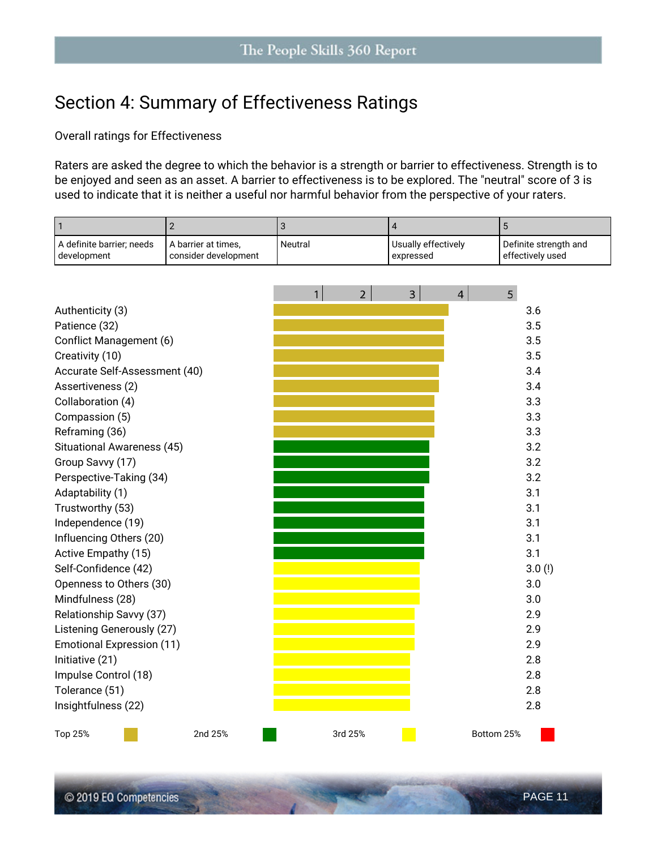### **Section 4: Summary of Effectiveness Ratings**

#### **Overall ratings for Effectiveness**

Raters are asked the degree to which the behavior is a **strength** or **barrier** to effectiveness. Strength is to be enjoyed and seen as an asset. A barrier to effectiveness is to be explored. The "neutral" score of 3 is used to indicate that it is neither a useful nor harmful behavior from the perspective of your raters.

| 1                                        | $\overline{2}$                              | 3            |                | $\overline{4}$ |                     |                | 5                                         |
|------------------------------------------|---------------------------------------------|--------------|----------------|----------------|---------------------|----------------|-------------------------------------------|
| A definite barrier; needs<br>development | A barrier at times,<br>consider development | Neutral      |                | expressed      | Usually effectively |                | Definite strength and<br>effectively used |
|                                          |                                             |              |                |                |                     |                |                                           |
|                                          |                                             | $\mathbf{1}$ | $\overline{2}$ | $\overline{3}$ |                     | $\overline{4}$ | 5                                         |
| Authenticity (3)                         |                                             |              |                |                |                     |                | 3.6                                       |
| Patience (32)                            |                                             |              |                |                |                     |                | 3.5                                       |
| Conflict Management (6)                  |                                             |              |                |                |                     |                | 3.5                                       |
| Creativity (10)                          |                                             |              |                |                |                     |                | 3.5                                       |
| Accurate Self-Assessment (40)            |                                             |              |                |                |                     |                | 3.4                                       |
| Assertiveness (2)                        |                                             |              |                |                |                     |                | 3.4                                       |
| Collaboration (4)                        |                                             |              |                |                |                     |                | 3.3                                       |
| Compassion (5)                           |                                             |              |                |                |                     |                | 3.3                                       |
| Reframing (36)                           |                                             |              |                |                |                     |                | 3.3                                       |
| Situational Awareness (45)               |                                             |              |                |                |                     |                | 3.2                                       |
| Group Savvy (17)                         |                                             |              |                |                |                     |                | 3.2                                       |
| Perspective-Taking (34)                  |                                             |              |                |                |                     |                | 3.2                                       |
| Adaptability (1)                         |                                             |              |                |                |                     |                | 3.1                                       |
| Trustworthy (53)                         |                                             |              |                |                |                     |                | 3.1                                       |
| Independence (19)                        |                                             |              |                |                |                     |                | 3.1                                       |
| Influencing Others (20)                  |                                             |              |                |                |                     |                | 3.1                                       |
| Active Empathy (15)                      |                                             |              |                |                |                     |                | 3.1                                       |
| Self-Confidence (42)                     |                                             |              |                |                |                     |                | 3.0(!)                                    |
| Openness to Others (30)                  |                                             |              |                |                |                     |                | 3.0                                       |
| Mindfulness (28)                         |                                             |              |                |                |                     |                | 3.0                                       |
| Relationship Savvy (37)                  |                                             |              |                |                |                     |                | 2.9                                       |
| Listening Generously (27)                |                                             |              |                |                |                     |                | 2.9                                       |
| <b>Emotional Expression (11)</b>         |                                             |              |                |                |                     |                | 2.9                                       |
| Initiative (21)                          |                                             |              |                |                |                     |                | 2.8                                       |
| Impulse Control (18)                     |                                             |              |                |                |                     |                | 2.8                                       |
| Tolerance (51)                           |                                             |              |                |                |                     |                | 2.8                                       |
| Insightfulness (22)                      |                                             |              |                |                |                     |                | 2.8                                       |
| Top 25%                                  | 2nd 25%                                     |              | 3rd 25%        |                |                     |                | Bottom 25%                                |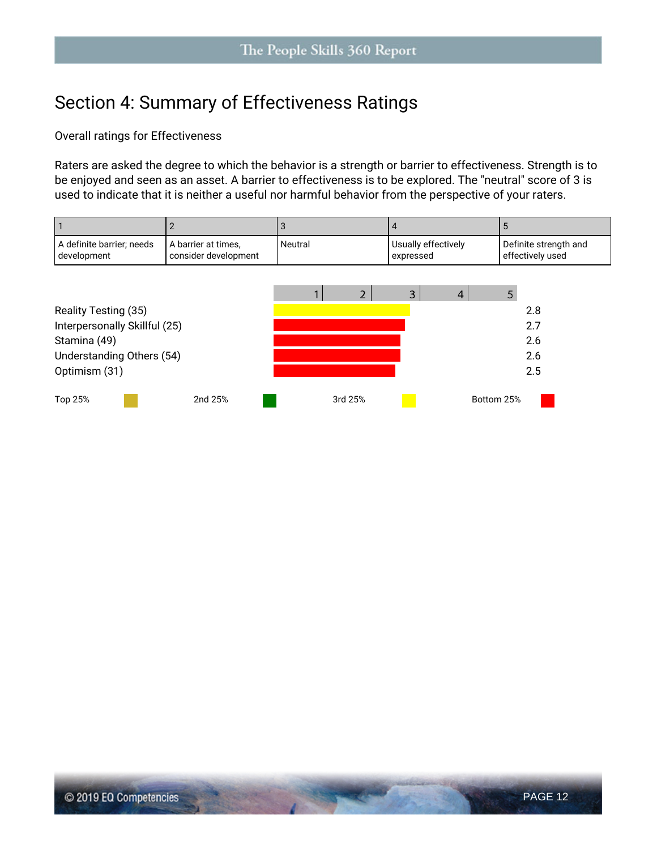### **Section 4: Summary of Effectiveness Ratings**

**Overall ratings for Effectiveness**

Raters are asked the degree to which the behavior is a **strength** or **barrier** to effectiveness. Strength is to be enjoyed and seen as an asset. A barrier to effectiveness is to be explored. The "neutral" score of 3 is used to indicate that it is neither a useful nor harmful behavior from the perspective of your raters.

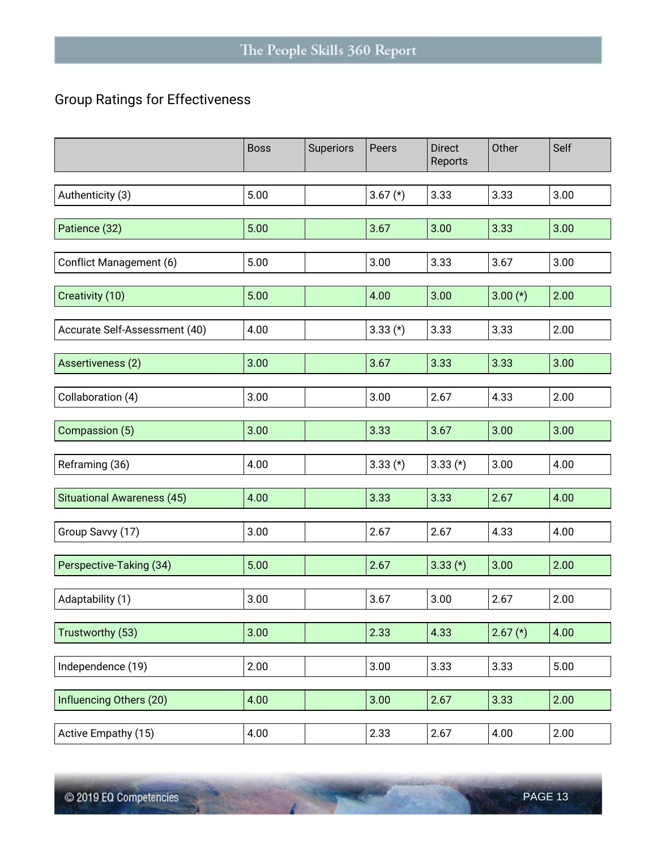#### **Group Ratings for Effectiveness**

|                                   | <b>Boss</b> | Superiors | Peers      | <b>Direct</b><br>Reports | Other      | Self |
|-----------------------------------|-------------|-----------|------------|--------------------------|------------|------|
| Authenticity (3)                  | 5.00        |           | 3.67 $(*)$ | 3.33                     | 3.33       | 3.00 |
| Patience (32)                     | 5.00        |           | 3.67       | 3.00                     | 3.33       | 3.00 |
| Conflict Management (6)           | 5.00        |           | 3.00       | 3.33                     | 3.67       | 3.00 |
| Creativity (10)                   | 5.00        |           | 4.00       | 3.00                     | $3.00(*)$  | 2.00 |
| Accurate Self-Assessment (40)     | 4.00        |           | $3.33(*)$  | 3.33                     | 3.33       | 2.00 |
| Assertiveness (2)                 | 3.00        |           | 3.67       | 3.33                     | 3.33       | 3.00 |
| Collaboration (4)                 | 3.00        |           | 3.00       | 2.67                     | 4.33       | 2.00 |
| Compassion (5)                    | 3.00        |           | 3.33       | 3.67                     | 3.00       | 3.00 |
| Reframing (36)                    | 4.00        |           | $3.33$ (*) | $3.33$ (*)               | 3.00       | 4.00 |
| <b>Situational Awareness (45)</b> | 4.00        |           | 3.33       | 3.33                     | 2.67       | 4.00 |
| Group Savvy (17)                  | 3.00        |           | 2.67       | 2.67                     | 4.33       | 4.00 |
| Perspective-Taking (34)           | 5.00        |           | 2.67       | $3.33$ (*)               | 3.00       | 2.00 |
| Adaptability (1)                  | 3.00        |           | 3.67       | 3.00                     | 2.67       | 2.00 |
| Trustworthy (53)                  | 3.00        |           | 2.33       | 4.33                     | $2.67$ (*) | 4.00 |
| Independence (19)                 | 2.00        |           | 3.00       | 3.33                     | 3.33       | 5.00 |
| Influencing Others (20)           | 4.00        |           | 3.00       | 2.67                     | 3.33       | 2.00 |
| Active Empathy (15)               | 4.00        |           | 2.33       | 2.67                     | 4.00       | 2.00 |

**ALCOHOL: YES** 

**Contract Contract**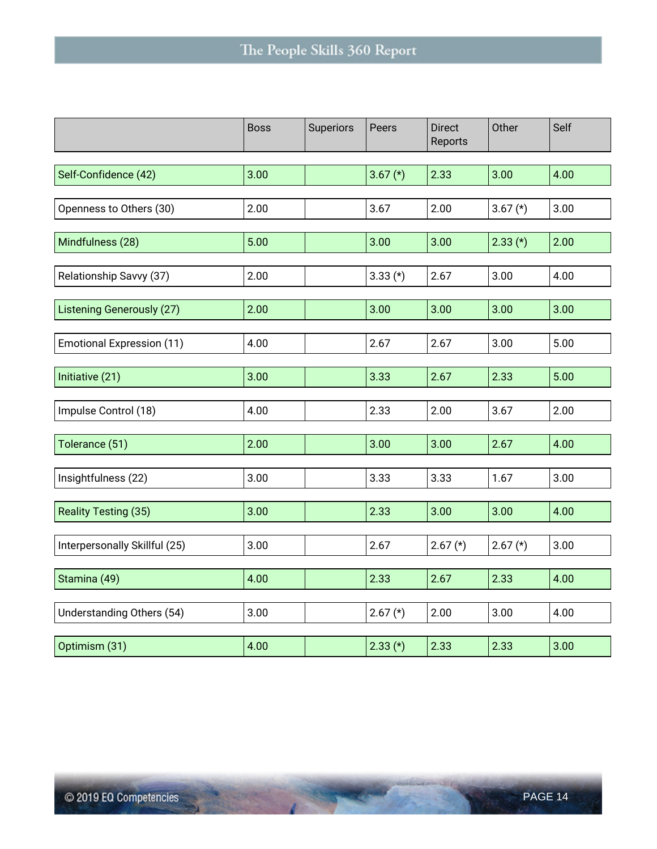|                                  | <b>Boss</b> | Superiors | Peers      | <b>Direct</b><br>Reports | Other      | Self |
|----------------------------------|-------------|-----------|------------|--------------------------|------------|------|
|                                  |             |           |            |                          |            |      |
| Self-Confidence (42)             | 3.00        |           | 3.67 $(*)$ | 2.33                     | 3.00       | 4.00 |
|                                  |             |           |            |                          |            |      |
| Openness to Others (30)          | 2.00        |           | 3.67       | 2.00                     | 3.67 $(*)$ | 3.00 |
|                                  |             |           |            |                          |            |      |
| Mindfulness (28)                 | 5.00        |           | 3.00       | 3.00                     | $2.33$ (*) | 2.00 |
| Relationship Savvy (37)          | 2.00        |           | $3.33$ (*) | 2.67                     | 3.00       | 4.00 |
|                                  |             |           |            |                          |            |      |
| <b>Listening Generously (27)</b> | 2.00        |           | 3.00       | 3.00                     | 3.00       | 3.00 |
|                                  |             |           |            |                          |            |      |
| <b>Emotional Expression (11)</b> | 4.00        |           | 2.67       | 2.67                     | 3.00       | 5.00 |
|                                  |             |           |            |                          |            |      |
| Initiative (21)                  | 3.00        |           | 3.33       | 2.67                     | 2.33       | 5.00 |
| Impulse Control (18)             | 4.00        |           | 2.33       | 2.00                     | 3.67       | 2.00 |
|                                  |             |           |            |                          |            |      |
| Tolerance (51)                   | 2.00        |           | 3.00       | 3.00                     | 2.67       | 4.00 |
|                                  |             |           |            |                          |            |      |
| Insightfulness (22)              | 3.00        |           | 3.33       | 3.33                     | 1.67       | 3.00 |
| Reality Testing (35)             | 3.00        |           | 2.33       | 3.00                     | 3.00       | 4.00 |
|                                  |             |           |            |                          |            |      |
| Interpersonally Skillful (25)    | 3.00        |           | 2.67       | $2.67 (*)$               | $2.67 (*)$ | 3.00 |
|                                  |             |           |            |                          |            |      |
| Stamina (49)                     | 4.00        |           | 2.33       | 2.67                     | 2.33       | 4.00 |
| Understanding Others (54)        | 3.00        |           | $2.67 (*)$ | 2.00                     | 3.00       | 4.00 |
|                                  |             |           |            |                          |            |      |
| Optimism (31)                    | 4.00        |           | $2.33(*)$  | 2.33                     | 2.33       | 3.00 |

Control of the Control

2302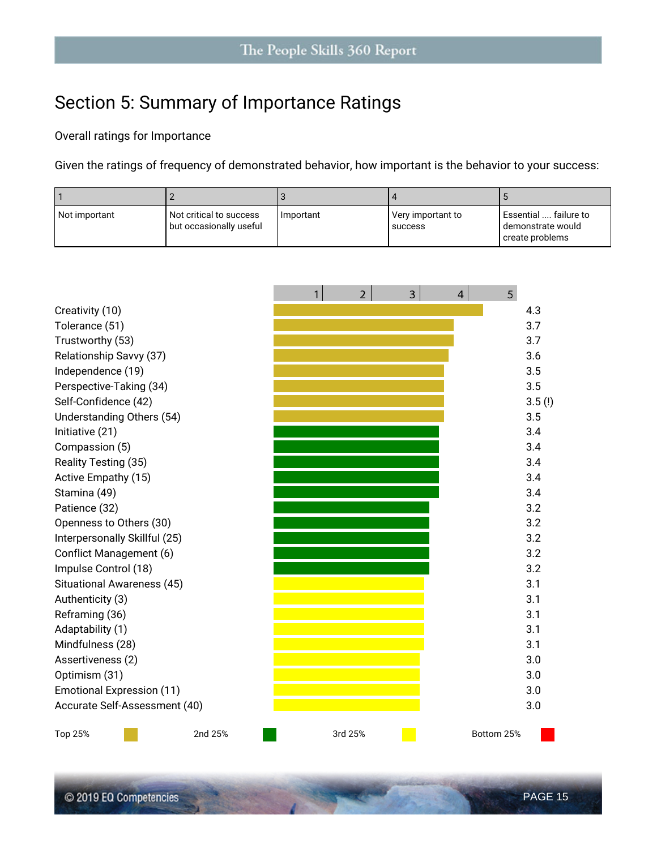# **Section 5: Summary of Importance Ratings**

#### **Overall ratings for Importance**

Given the ratings of frequency of demonstrated behavior, how important is the behavior to your success:

| l Not important | <b>I</b> Not critical to success l<br>but occasionally useful | Important | l Very important to<br>success | l Essential  failure to<br>l demonstrate would<br>create problems |
|-----------------|---------------------------------------------------------------|-----------|--------------------------------|-------------------------------------------------------------------|

|                                   | 1 | $\overline{2}$ | $\overline{3}$ | $\overline{4}$ | 5          |        |
|-----------------------------------|---|----------------|----------------|----------------|------------|--------|
| Creativity (10)                   |   |                |                |                |            | 4.3    |
| Tolerance (51)                    |   |                |                |                |            | 3.7    |
| Trustworthy (53)                  |   |                |                |                |            | 3.7    |
| Relationship Savvy (37)           |   |                |                |                |            | 3.6    |
| Independence (19)                 |   |                |                |                |            | 3.5    |
| Perspective-Taking (34)           |   |                |                |                |            | 3.5    |
| Self-Confidence (42)              |   |                |                |                |            | 3.5(!) |
| Understanding Others (54)         |   |                |                |                |            | 3.5    |
| Initiative (21)                   |   |                |                |                |            | 3.4    |
| Compassion (5)                    |   |                |                |                |            | 3.4    |
| Reality Testing (35)              |   |                |                |                |            | 3.4    |
| Active Empathy (15)               |   |                |                |                |            | 3.4    |
| Stamina (49)                      |   |                |                |                |            | 3.4    |
| Patience (32)                     |   |                |                |                |            | 3.2    |
| Openness to Others (30)           |   |                |                |                |            | 3.2    |
| Interpersonally Skillful (25)     |   |                |                |                |            | 3.2    |
| Conflict Management (6)           |   |                |                |                |            | 3.2    |
| Impulse Control (18)              |   |                |                |                |            | 3.2    |
| <b>Situational Awareness (45)</b> |   |                |                |                |            | 3.1    |
| Authenticity (3)                  |   |                |                |                |            | 3.1    |
| Reframing (36)                    |   |                |                |                |            | 3.1    |
| Adaptability (1)                  |   |                |                |                |            | 3.1    |
| Mindfulness (28)                  |   |                |                |                |            | 3.1    |
| Assertiveness (2)                 |   |                |                |                |            | 3.0    |
| Optimism (31)                     |   |                |                |                |            | 3.0    |
| <b>Emotional Expression (11)</b>  |   |                |                |                |            | 3.0    |
| Accurate Self-Assessment (40)     |   |                |                |                |            | 3.0    |
| 2nd 25%<br>Top 25%                |   | 3rd 25%        |                |                | Bottom 25% |        |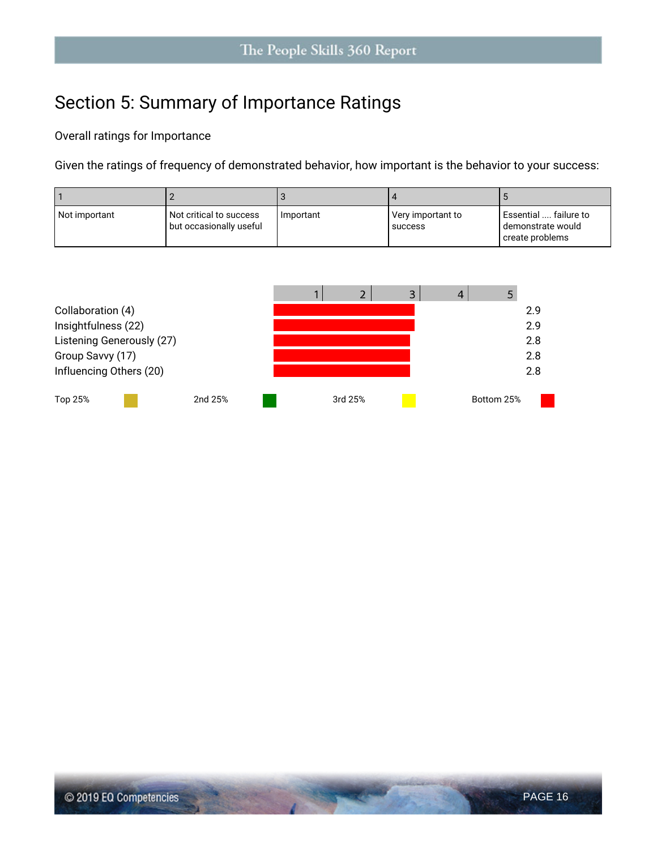# **Section 5: Summary of Importance Ratings**

#### **Overall ratings for Importance**

Given the ratings of frequency of demonstrated behavior, how important is the behavior to your success:

| l Not important | l Not critical to success l<br>but occasionally useful | Important | Very important to<br>success | l Essential  failure to<br>l demonstrate would<br>create problems |
|-----------------|--------------------------------------------------------|-----------|------------------------------|-------------------------------------------------------------------|

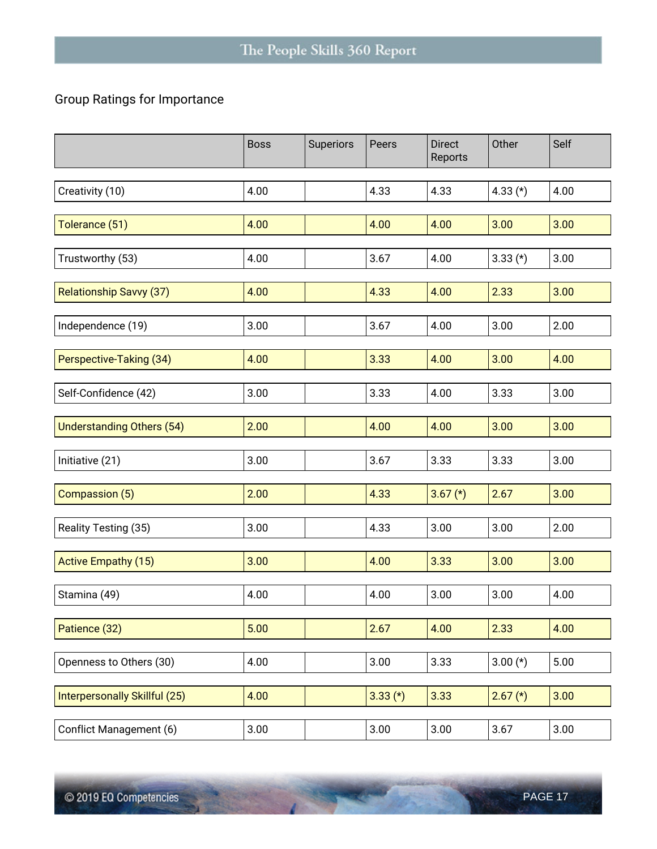#### **Group Ratings for Importance**

|                                  | <b>Boss</b> | Superiors | Peers      | <b>Direct</b><br>Reports | Other      | Self |
|----------------------------------|-------------|-----------|------------|--------------------------|------------|------|
| Creativity (10)                  | 4.00        |           | 4.33       | 4.33                     | 4.33 $(*)$ | 4.00 |
| Tolerance (51)                   | 4.00        |           | 4.00       | 4.00                     | 3.00       | 3.00 |
| Trustworthy (53)                 | 4.00        |           | 3.67       | 4.00                     | $3.33$ (*) | 3.00 |
| <b>Relationship Savvy (37)</b>   | 4.00        |           | 4.33       | 4.00                     | 2.33       | 3.00 |
| Independence (19)                | 3.00        |           | 3.67       | 4.00                     | 3.00       | 2.00 |
| Perspective-Taking (34)          | 4.00        |           | 3.33       | 4.00                     | 3.00       | 4.00 |
| Self-Confidence (42)             | 3.00        |           | 3.33       | 4.00                     | 3.33       | 3.00 |
| <b>Understanding Others (54)</b> | 2.00        |           | 4.00       | 4.00                     | 3.00       | 3.00 |
| Initiative (21)                  | 3.00        |           | 3.67       | 3.33                     | 3.33       | 3.00 |
| Compassion (5)                   | 2.00        |           | 4.33       | $3.67$ (*)               | 2.67       | 3.00 |
| Reality Testing (35)             | 3.00        |           | 4.33       | 3.00                     | 3.00       | 2.00 |
| <b>Active Empathy (15)</b>       | 3.00        |           | 4.00       | 3.33                     | 3.00       | 3.00 |
| Stamina (49)                     | 4.00        |           | 4.00       | 3.00                     | 3.00       | 4.00 |
| Patience (32)                    | 5.00        |           | 2.67       | 4.00                     | 2.33       | 4.00 |
| Openness to Others (30)          | 4.00        |           | 3.00       | 3.33                     | $3.00(*)$  | 5.00 |
| Interpersonally Skillful (25)    | 4.00        |           | $3.33$ (*) | 3.33                     | $2.67 (*)$ | 3.00 |
| Conflict Management (6)          | 3.00        |           | 3.00       | 3.00                     | 3.67       | 3.00 |

**STATE OF BUILDING** 

 $\sim$   $\sim$   $\sim$   $\sim$   $\sim$   $\sim$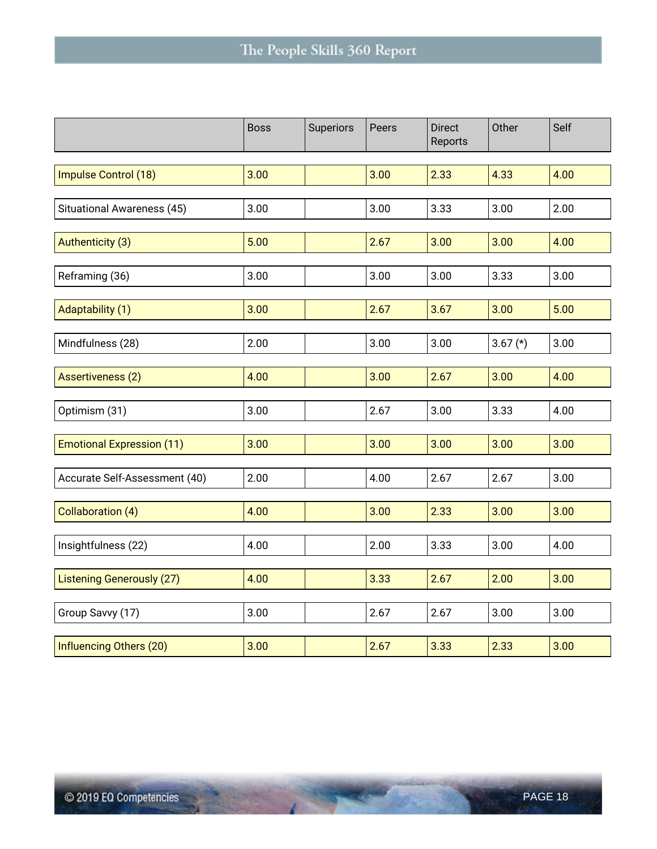|                                  | <b>Boss</b> | Superiors | Peers | <b>Direct</b><br>Reports | Other      | Self |
|----------------------------------|-------------|-----------|-------|--------------------------|------------|------|
|                                  |             |           |       |                          |            |      |
| Impulse Control (18)             | 3.00        |           | 3.00  | 2.33                     | 4.33       | 4.00 |
|                                  |             |           |       |                          |            |      |
| Situational Awareness (45)       | 3.00        |           | 3.00  | 3.33                     | 3.00       | 2.00 |
|                                  |             |           |       |                          |            |      |
| Authenticity (3)                 | 5.00        |           | 2.67  | 3.00                     | 3.00       | 4.00 |
|                                  |             |           |       |                          |            |      |
| Reframing (36)                   | 3.00        |           | 3.00  | 3.00                     | 3.33       | 3.00 |
|                                  |             |           |       |                          |            |      |
| Adaptability (1)                 | 3.00        |           | 2.67  | 3.67                     | 3.00       | 5.00 |
|                                  |             |           |       |                          |            |      |
| Mindfulness (28)                 | 2.00        |           | 3.00  | 3.00                     | $3.67$ (*) | 3.00 |
|                                  |             |           |       |                          |            |      |
| <b>Assertiveness (2)</b>         | 4.00        |           | 3.00  | 2.67                     | 3.00       | 4.00 |
|                                  |             |           |       |                          |            |      |
| Optimism (31)                    | 3.00        |           | 2.67  | 3.00                     | 3.33       | 4.00 |
|                                  |             |           |       |                          |            |      |
| <b>Emotional Expression (11)</b> | 3.00        |           | 3.00  | 3.00                     | 3.00       | 3.00 |
|                                  |             |           |       |                          |            |      |
| Accurate Self-Assessment (40)    | 2.00        |           | 4.00  | 2.67                     | 2.67       | 3.00 |
|                                  |             |           | 3.00  | 2.33                     | 3.00       | 3.00 |
| <b>Collaboration (4)</b>         | 4.00        |           |       |                          |            |      |
| Insightfulness (22)              | 4.00        |           | 2.00  | 3.33                     | 3.00       | 4.00 |
|                                  |             |           |       |                          |            |      |
| <b>Listening Generously (27)</b> | 4.00        |           | 3.33  | 2.67                     | 2.00       | 3.00 |
|                                  |             |           |       |                          |            |      |
| Group Savvy (17)                 | 3.00        |           | 2.67  | 2.67                     | 3.00       | 3.00 |
|                                  |             |           |       |                          |            |      |
| Influencing Others (20)          | 3.00        |           | 2.67  | 3.33                     | 2.33       | 3.00 |
|                                  |             |           |       |                          |            |      |

Control of the Control

14392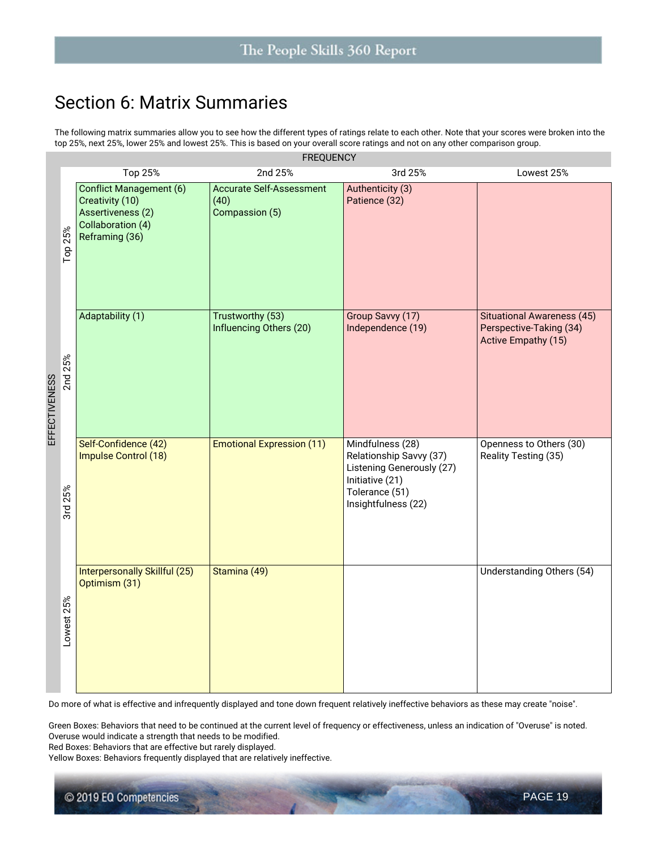### **Section 6: Matrix Summaries**

The following matrix summaries allow you to see how the different types of ratings relate to each other. Note that your scores were broken into the top 25%, next 25%, lower 25% and lowest 25%. This is based on your overall score ratings and not on any other comparison group.

|                          | <b>FREQUENCY</b>                                                                                              |                                                           |                                                                                                                                      |                                                                                     |  |  |  |  |  |
|--------------------------|---------------------------------------------------------------------------------------------------------------|-----------------------------------------------------------|--------------------------------------------------------------------------------------------------------------------------------------|-------------------------------------------------------------------------------------|--|--|--|--|--|
|                          | Top 25%                                                                                                       | 2nd 25%                                                   | 3rd 25%                                                                                                                              | Lowest 25%                                                                          |  |  |  |  |  |
| Тор 25%                  | <b>Conflict Management (6)</b><br>Creativity (10)<br>Assertiveness (2)<br>Collaboration (4)<br>Reframing (36) | <b>Accurate Self-Assessment</b><br>(40)<br>Compassion (5) | Authenticity (3)<br>Patience (32)                                                                                                    |                                                                                     |  |  |  |  |  |
| 2nd 25%<br>EFFECTIVENESS | Adaptability (1)                                                                                              | Trustworthy (53)<br>Influencing Others (20)               | Group Savvy (17)<br>Independence (19)                                                                                                | <b>Situational Awareness (45)</b><br>Perspective-Taking (34)<br>Active Empathy (15) |  |  |  |  |  |
| 3rd 25%                  | Self-Confidence (42)<br>Impulse Control (18)                                                                  | <b>Emotional Expression (11)</b>                          | Mindfulness (28)<br>Relationship Savvy (37)<br>Listening Generously (27)<br>Initiative (21)<br>Tolerance (51)<br>Insightfulness (22) | Openness to Others (30)<br>Reality Testing (35)                                     |  |  |  |  |  |
| Lowest 25%               | <b>Interpersonally Skillful (25)</b><br>Optimism (31)                                                         | Stamina (49)                                              |                                                                                                                                      | Understanding Others (54)                                                           |  |  |  |  |  |

Do more of what is effective and infrequently displayed and tone down frequent relatively ineffective behaviors as these may create "noise".

Green Boxes: Behaviors that need to be continued at the current level of frequency or effectiveness, unless an indication of "Overuse" is noted. Overuse would indicate a strength that needs to be modified.

Red Boxes: Behaviors that are effective but rarely displayed.

Yellow Boxes: Behaviors frequently displayed that are relatively ineffective.

© 2019 EQ Competencies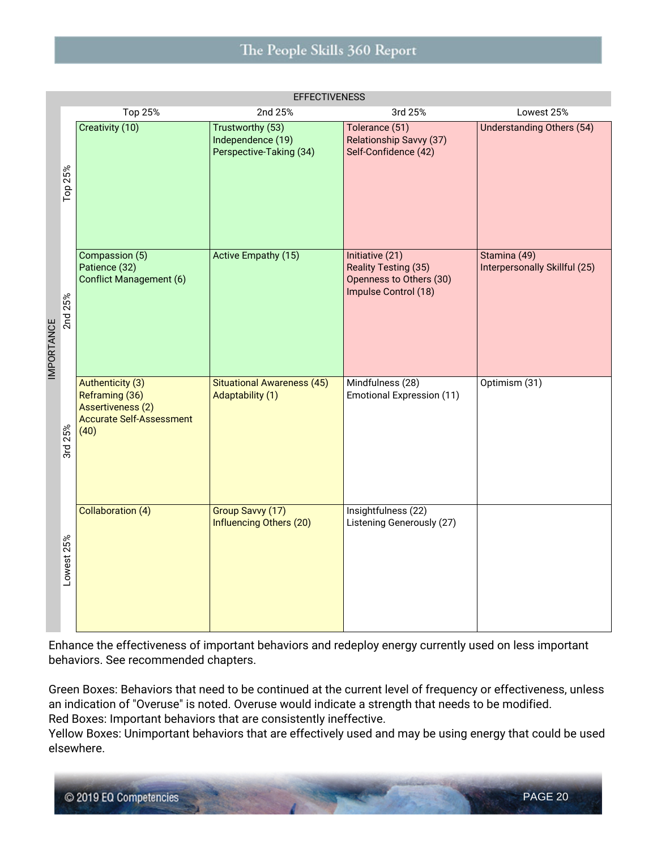#### The People Skills 360 Report

|                   | <b>EFFECTIVENESS</b> |                                                                                                                  |                                                                  |                                                                                            |                                               |  |  |  |  |
|-------------------|----------------------|------------------------------------------------------------------------------------------------------------------|------------------------------------------------------------------|--------------------------------------------------------------------------------------------|-----------------------------------------------|--|--|--|--|
|                   |                      | Top 25%                                                                                                          | 2nd 25%                                                          | 3rd 25%                                                                                    | Lowest 25%                                    |  |  |  |  |
|                   | Top 25%              | Creativity (10)                                                                                                  | Trustworthy (53)<br>Independence (19)<br>Perspective-Taking (34) | Tolerance (51)<br>Relationship Savvy (37)<br>Self-Confidence (42)                          | <b>Understanding Others (54)</b>              |  |  |  |  |
| <b>IMPORTANCE</b> | 2nd 25%              | Compassion (5)<br>Patience (32)<br><b>Conflict Management (6)</b>                                                | <b>Active Empathy (15)</b>                                       | Initiative (21)<br>Reality Testing (35)<br>Openness to Others (30)<br>Impulse Control (18) | Stamina (49)<br>Interpersonally Skillful (25) |  |  |  |  |
|                   | 3rd 25%              | <b>Authenticity (3)</b><br>Reframing (36)<br><b>Assertiveness (2)</b><br><b>Accurate Self-Assessment</b><br>(40) | <b>Situational Awareness (45)</b><br>Adaptability (1)            | Mindfulness (28)<br><b>Emotional Expression (11)</b>                                       | Optimism (31)                                 |  |  |  |  |
|                   | Lowest 25%           | Collaboration (4)                                                                                                | Group Savvy (17)<br>Influencing Others (20)                      | Insightfulness (22)<br>Listening Generously (27)                                           |                                               |  |  |  |  |

Enhance the effectiveness of important behaviors and redeploy energy currently used on less important behaviors. See recommended chapters.

Green Boxes: Behaviors that need to be continued at the current level of frequency or effectiveness, unless an indication of "Overuse" is noted. Overuse would indicate a strength that needs to be modified. Red Boxes: Important behaviors that are consistently ineffective.

Yellow Boxes: Unimportant behaviors that are effectively used and may be using energy that could be used elsewhere.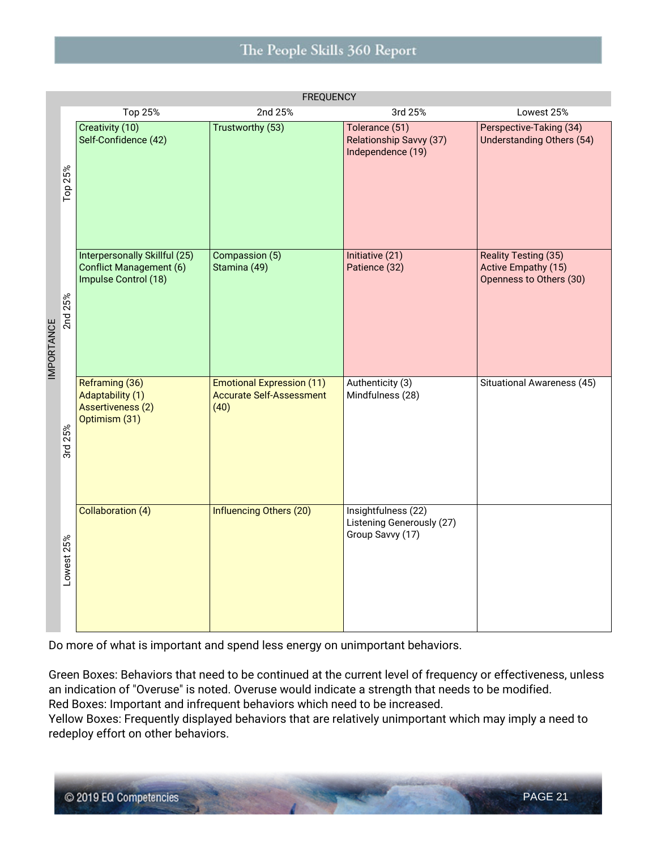#### The People Skills 360 Report

|                   | <b>FREQUENCY</b> |                                                                                         |                                                                             |                                                                      |                                                                               |  |  |  |  |
|-------------------|------------------|-----------------------------------------------------------------------------------------|-----------------------------------------------------------------------------|----------------------------------------------------------------------|-------------------------------------------------------------------------------|--|--|--|--|
|                   |                  | Top 25%                                                                                 | 2nd 25%                                                                     | 3rd 25%                                                              | Lowest 25%                                                                    |  |  |  |  |
|                   | Top 25%          | Creativity (10)<br>Self-Confidence (42)                                                 | Trustworthy (53)                                                            | Tolerance (51)<br>Relationship Savvy (37)<br>Independence (19)       | Perspective-Taking (34)<br>Understanding Others (54)                          |  |  |  |  |
| <b>IMPORTANCE</b> | 2nd 25%          | Interpersonally Skillful (25)<br><b>Conflict Management (6)</b><br>Impulse Control (18) | Compassion (5)<br>Stamina (49)                                              | Initiative (21)<br>Patience (32)                                     | <b>Reality Testing (35)</b><br>Active Empathy (15)<br>Openness to Others (30) |  |  |  |  |
|                   | 3rd 25%          | Reframing (36)<br>Adaptability (1)<br><b>Assertiveness (2)</b><br>Optimism (31)         | <b>Emotional Expression (11)</b><br><b>Accurate Self-Assessment</b><br>(40) | Authenticity (3)<br>Mindfulness (28)                                 | Situational Awareness (45)                                                    |  |  |  |  |
|                   | Lowest 25%       | Collaboration (4)                                                                       | <b>Influencing Others (20)</b>                                              | Insightfulness (22)<br>Listening Generously (27)<br>Group Savvy (17) |                                                                               |  |  |  |  |

Do more of what is important and spend less energy on unimportant behaviors.

Green Boxes: Behaviors that need to be continued at the current level of frequency or effectiveness, unless an indication of "Overuse" is noted. Overuse would indicate a strength that needs to be modified. Red Boxes: Important and infrequent behaviors which need to be increased.

Yellow Boxes: Frequently displayed behaviors that are relatively unimportant which may imply a need to redeploy effort on other behaviors.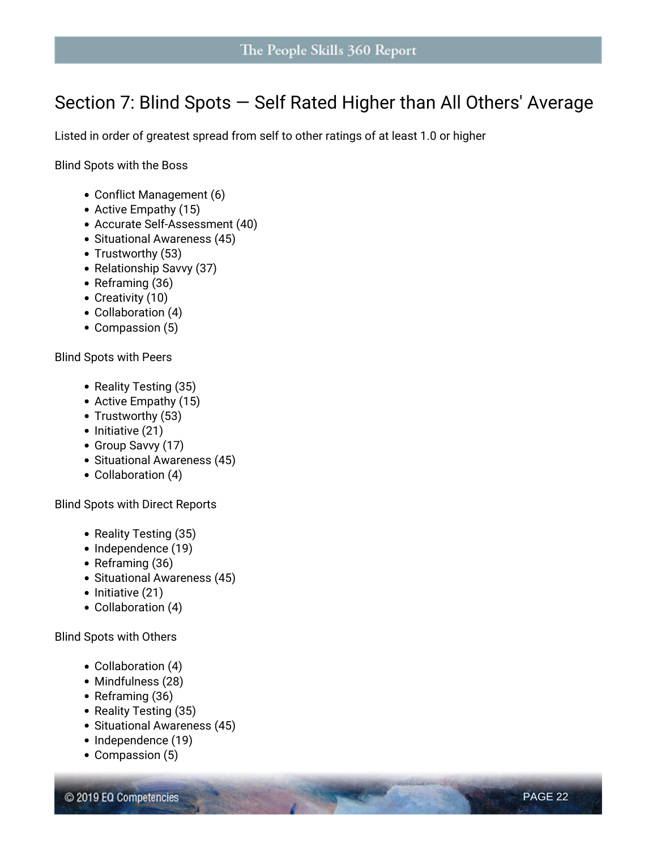### **Section 7: Blind Spots — Self Rated Higher than All Others' Average**

Listed in order of greatest spread from self to other ratings of at least 1.0 or higher

**Blind Spots with the Boss**

- Conflict Management (6)
- *Active* Empathy (15)
- *Accurate* Self-Assessment (40)
- Situational Awareness (45)
- Trustworthy (53)
- Relationship Savvy (37)
- Reframing (36)
- Creativity (10)
- Collaboration (4)
- Compassion (5)

**Blind Spots with Peers**

- Reality Testing (35)
- *Active* Empathy (15)
- Trustworthy (53)
- $\bullet$  Initiative (21)
- Group Savvy (17)
- Situational Awareness (45)
- Collaboration (4)

**Blind Spots with Direct Reports**

- Reality Testing (35)
- Independence (19)
- Reframing (36)
- Situational Awareness (45)
- $\bullet$  Initiative (21)
- Collaboration (4)

**Blind Spots with Others**

- Collaboration (4)
- Mindfulness (28)
- Reframing (36)
- Reality Testing (35)
- Situational Awareness (45)
- Independence (19)
- Compassion (5)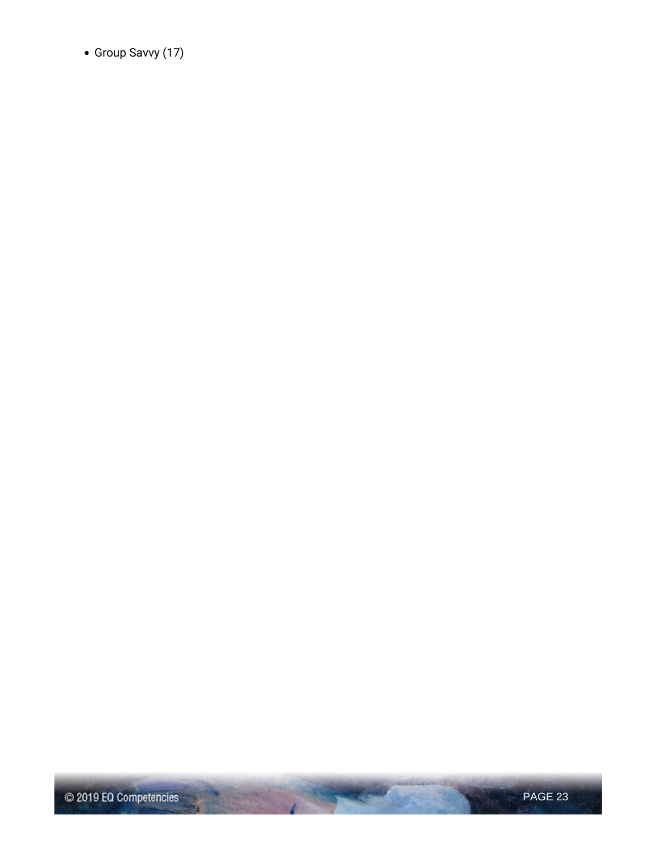Group Savvy (17)

**Contract Contract Contract Contract Contract Contract Contract Contract Contract Contract Contract Contract Contract Contract Contract Contract Contract Contract Contract Contract Contract Contract Contract Contract Contr** 

 $-100$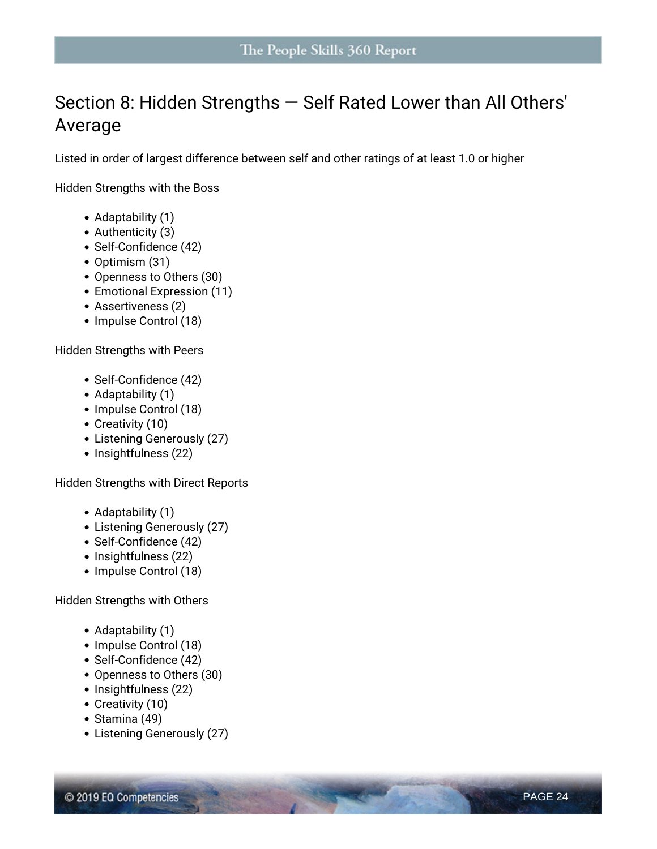# **Section 8: Hidden Strengths — Self Rated Lower than All Others' Average**

Listed in order of largest difference between self and other ratings of at least 1.0 or higher

**Hidden Strengths with the Boss**

- Adaptability (1)
- Authenticity (3)
- Self-Confidence (42)
- Optimism (31)
- Openness to Others (30)
- Emotional Expression (11)
- Assertiveness (2)
- Impulse Control (18)

**Hidden Strengths with Peers**

- Self-Confidence (42)
- Adaptability (1)
- Impulse Control (18)
- Creativity (10)
- Listening Generously (27)
- Insightfulness (22)

**Hidden Strengths with Direct Reports**

- Adaptability (1)
- Listening Generously (27)
- Self-Confidence (42)
- Insightfulness (22)
- Impulse Control (18)

**Hidden Strengths with Others**

- Adaptability (1)
- Impulse Control (18)
- Self-Confidence (42)
- Openness to Others (30)
- Insightfulness (22)
- Creativity (10)
- Stamina (49)
- Listening Generously (27)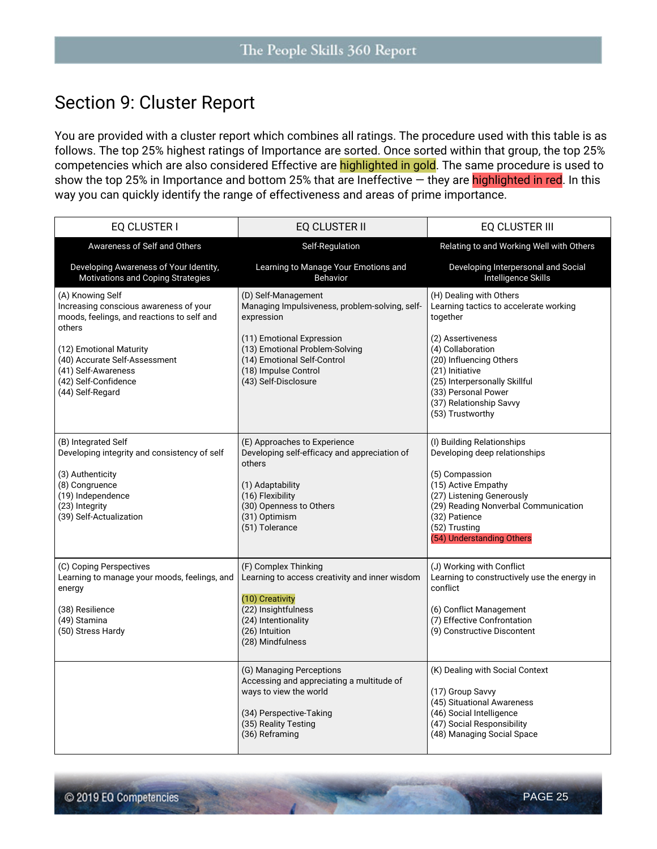### **Section 9: Cluster Report**

You are provided with a cluster report which combines all ratings. The procedure used with this table is as follows. The top 25% highest ratings of **Importance** are sorted. Once sorted within that group, the top 25% competencies which are also considered **Effective** are highlighted in gold. The same procedure is used to show the top 25% in **Importance** and bottom 25% that are **Ineffective** — they are highlighted in red. In this way you can quickly identify the range of effectiveness and areas of prime importance.

| EQ CLUSTER I                                                                                                                                                                                                                                      | EQ CLUSTER II                                                                                                                                                                                                                     | EQ CLUSTER III                                                                                                                                                                                                                                                               |
|---------------------------------------------------------------------------------------------------------------------------------------------------------------------------------------------------------------------------------------------------|-----------------------------------------------------------------------------------------------------------------------------------------------------------------------------------------------------------------------------------|------------------------------------------------------------------------------------------------------------------------------------------------------------------------------------------------------------------------------------------------------------------------------|
| Awareness of Self and Others                                                                                                                                                                                                                      | Self-Regulation                                                                                                                                                                                                                   | Relating to and Working Well with Others                                                                                                                                                                                                                                     |
| Developing Awareness of Your Identity,<br>Motivations and Coping Strategies                                                                                                                                                                       | Learning to Manage Your Emotions and<br><b>Behavior</b>                                                                                                                                                                           | Developing Interpersonal and Social<br>Intelligence Skills                                                                                                                                                                                                                   |
| (A) Knowing Self<br>Increasing conscious awareness of your<br>moods, feelings, and reactions to self and<br>others<br>(12) Emotional Maturity<br>(40) Accurate Self-Assessment<br>(41) Self-Awareness<br>(42) Self-Confidence<br>(44) Self-Regard | (D) Self-Management<br>Managing Impulsiveness, problem-solving, self-<br>expression<br>(11) Emotional Expression<br>(13) Emotional Problem-Solving<br>(14) Emotional Self-Control<br>(18) Impulse Control<br>(43) Self-Disclosure | (H) Dealing with Others<br>Learning tactics to accelerate working<br>together<br>(2) Assertiveness<br>(4) Collaboration<br>(20) Influencing Others<br>(21) Initiative<br>(25) Interpersonally Skillful<br>(33) Personal Power<br>(37) Relationship Savvy<br>(53) Trustworthy |
| (B) Integrated Self<br>Developing integrity and consistency of self<br>(3) Authenticity<br>(8) Congruence<br>(19) Independence<br>(23) Integrity<br>(39) Self-Actualization                                                                       | (E) Approaches to Experience<br>Developing self-efficacy and appreciation of<br>others<br>(1) Adaptability<br>(16) Flexibility<br>(30) Openness to Others<br>(31) Optimism<br>(51) Tolerance                                      | (I) Building Relationships<br>Developing deep relationships<br>(5) Compassion<br>(15) Active Empathy<br>(27) Listening Generously<br>(29) Reading Nonverbal Communication<br>(32) Patience<br>(52) Trusting<br>(54) Understanding Others                                     |
| (C) Coping Perspectives<br>Learning to manage your moods, feelings, and<br>energy<br>(38) Resilience<br>(49) Stamina<br>(50) Stress Hardy                                                                                                         | (F) Complex Thinking<br>Learning to access creativity and inner wisdom<br>(10) Creativity<br>(22) Insightfulness<br>(24) Intentionality<br>(26) Intuition<br>(28) Mindfulness                                                     | (J) Working with Conflict<br>Learning to constructively use the energy in<br>conflict<br>(6) Conflict Management<br>(7) Effective Confrontation<br>(9) Constructive Discontent                                                                                               |
|                                                                                                                                                                                                                                                   | (G) Managing Perceptions<br>Accessing and appreciating a multitude of<br>ways to view the world<br>(34) Perspective-Taking<br>(35) Reality Testing<br>(36) Reframing                                                              | (K) Dealing with Social Context<br>(17) Group Savvy<br>(45) Situational Awareness<br>(46) Social Intelligence<br>(47) Social Responsibility<br>(48) Managing Social Space                                                                                                    |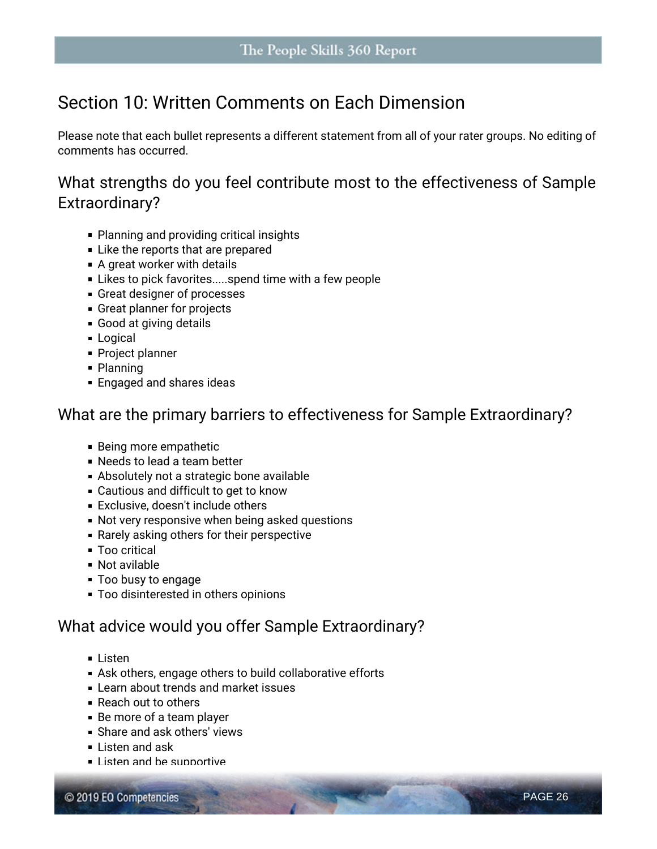### **Section 10: Written Comments on Each Dimension**

Please note that each bullet represents a different statement from all of your rater groups. No editing of comments has occurred.

#### **What strengths do you feel contribute most to the effectiveness of Sample Extraordinary?**

- **Planning and providing critical insights**
- **Like the reports that are prepared**
- A great worker with details
- Likes to pick favorites.....spend time with a few people
- Great designer of processes
- Great planner for projects
- Good at giving details
- **Logical**
- Project planner
- Planning
- **Engaged and shares ideas**

#### **What are the primary barriers to effectiveness for Sample Extraordinary?**

- Being more empathetic
- Needs to lead a team better
- Absolutely not a strategic bone available
- Cautious and difficult to get to know
- Exclusive, doesn't include others
- Not very responsive when being asked questions
- Rarely asking others for their perspective
- **Too critical**
- Not avilable
- **Too busy to engage**
- Too disinterested in others opinions

#### **What advice would you offer Sample Extraordinary?**

- **Listen**
- Ask others, engage others to build collaborative efforts
- **Learn about trends and market issues**
- **Reach out to others**
- Be more of a team player
- Share and ask others' views
- Listen and ask
- Listen and be supportive

© 2019 EQ Competencies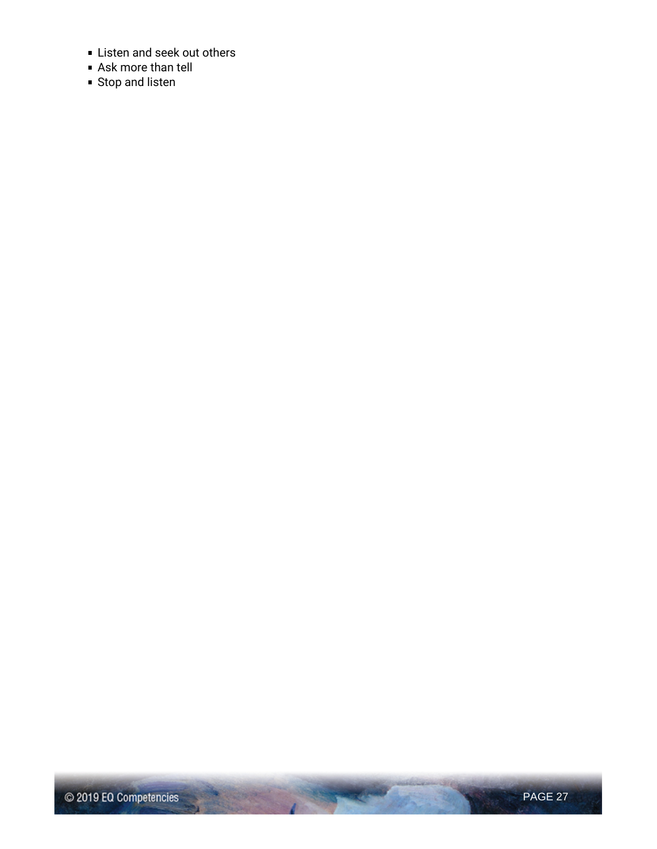- **Listen and seek out others**
- Ask more than tell
- Stop and listen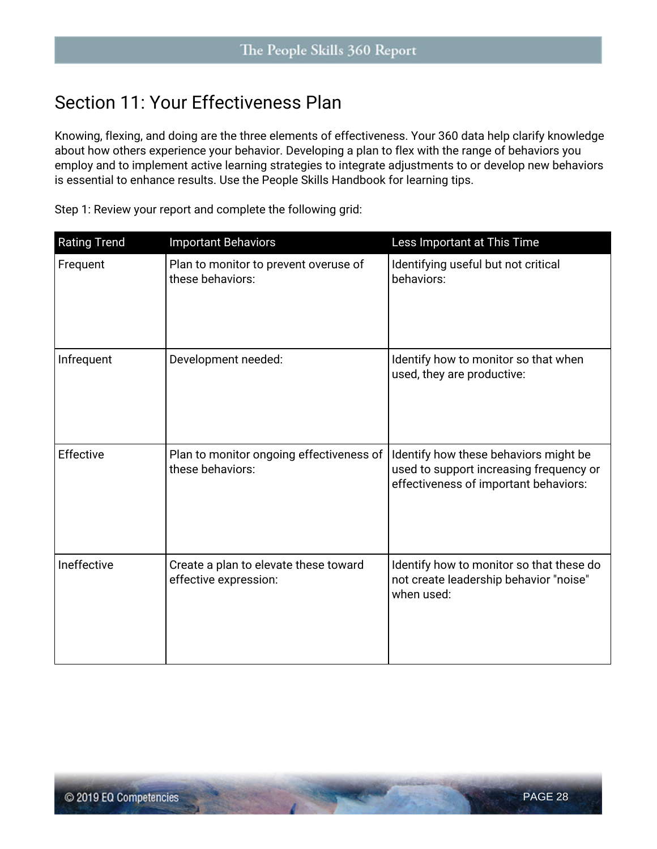### **Section 11: Your Effectiveness Plan**

**Knowing**, **flexing**, and **doing** are the three elements of effectiveness. Your 360 data help clarify knowledge about how others experience your behavior. Developing a plan to flex with the range of behaviors you employ and to implement active learning strategies to integrate adjustments to or develop new behaviors is essential to enhance results. Use the *People Skills Handbook* for learning tips.

| <b>Rating Trend</b> | <b>Important Behaviors</b>                                     | Less Important at This Time                                                                                               |
|---------------------|----------------------------------------------------------------|---------------------------------------------------------------------------------------------------------------------------|
| Frequent            | Plan to monitor to prevent overuse of<br>these behaviors:      | Identifying useful but not critical<br>behaviors:                                                                         |
| Infrequent          | Development needed:                                            | Identify how to monitor so that when<br>used, they are productive:                                                        |
| Effective           | Plan to monitor ongoing effectiveness of<br>these behaviors:   | Identify how these behaviors might be<br>used to support increasing frequency or<br>effectiveness of important behaviors: |
| Ineffective         | Create a plan to elevate these toward<br>effective expression: | Identify how to monitor so that these do<br>not create leadership behavior "noise"<br>when used:                          |

**Step 1: Review your report and complete the following grid:**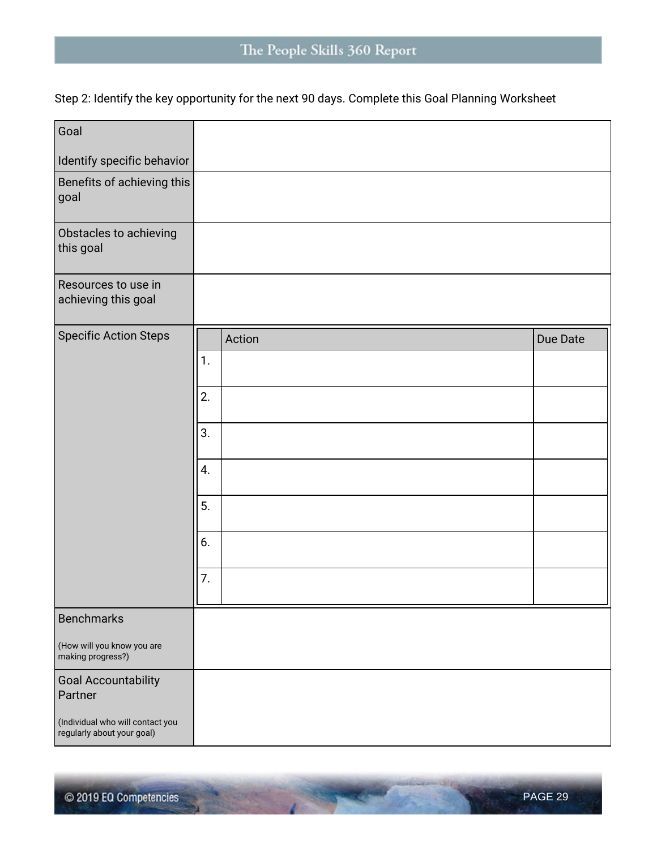### The People Skills 360 Report

**Step 2: Identify the key opportunity for the next 90 days. Complete this Goal Planning Worksheet** 

| Goal                                                           |    |        |          |
|----------------------------------------------------------------|----|--------|----------|
| Identify specific behavior                                     |    |        |          |
| Benefits of achieving this<br>goal                             |    |        |          |
| Obstacles to achieving<br>this goal                            |    |        |          |
| Resources to use in<br>achieving this goal                     |    |        |          |
| <b>Specific Action Steps</b>                                   |    | Action | Due Date |
|                                                                | 1. |        |          |
|                                                                | 2. |        |          |
|                                                                | 3. |        |          |
|                                                                | 4. |        |          |
|                                                                | 5. |        |          |
|                                                                | 6. |        |          |
|                                                                | 7. |        |          |
| <b>Benchmarks</b>                                              |    |        |          |
| (How will you know you are<br>making progress?)                |    |        |          |
| <b>Goal Accountability</b><br>Partner                          |    |        |          |
| (Individual who will contact you<br>regularly about your goal) |    |        |          |